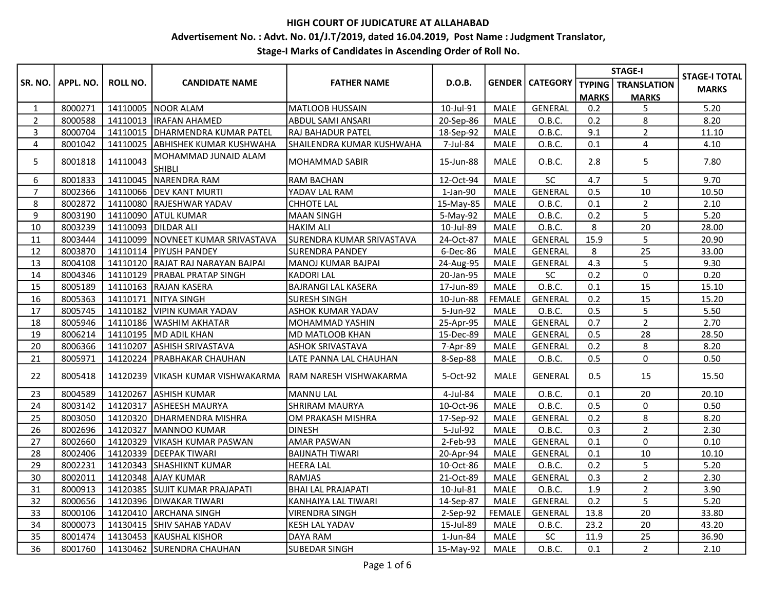# Advertisement No. : Advt. No. 01/J.T/2019, dated 16.04.2019, Post Name : Judgment Translator,

|                |           |          |                                       |                            |           |               |                          |              | <b>STAGE-I</b>              | <b>STAGE-I TOTAL</b> |
|----------------|-----------|----------|---------------------------------------|----------------------------|-----------|---------------|--------------------------|--------------|-----------------------------|----------------------|
| SR. NO.        | APPL. NO. | ROLL NO. | <b>CANDIDATE NAME</b>                 | <b>FATHER NAME</b>         | D.O.B.    |               | <b>GENDER   CATEGORY</b> |              | <b>TYPING</b>   TRANSLATION | <b>MARKS</b>         |
|                |           |          |                                       |                            |           |               |                          | <b>MARKS</b> | <b>MARKS</b>                |                      |
| $\mathbf{1}$   | 8000271   |          | 14110005 NOOR ALAM                    | <b>MATLOOB HUSSAIN</b>     | 10-Jul-91 | <b>MALE</b>   | <b>GENERAL</b>           | 0.2          | 5                           | 5.20                 |
| $\overline{2}$ | 8000588   | 14110013 | <b>IRAFAN AHAMED</b>                  | ABDUL SAMI ANSARI          | 20-Sep-86 | <b>MALE</b>   | O.B.C.                   | 0.2          | 8                           | 8.20                 |
| 3              | 8000704   |          | 14110015   DHARMENDRA KUMAR PATEL     | RAJ BAHADUR PATEL          | 18-Sep-92 | <b>MALE</b>   | O.B.C.                   | 9.1          | $\overline{2}$              | 11.10                |
| 4              | 8001042   |          | 14110025 ABHISHEK KUMAR KUSHWAHA      | SHAILENDRA KUMAR KUSHWAHA  | 7-Jul-84  | MALE          | O.B.C.                   | 0.1          | 4                           | 4.10                 |
| 5              | 8001818   | 14110043 | MOHAMMAD JUNAID ALAM<br><b>SHIBLI</b> | MOHAMMAD SABIR             | 15-Jun-88 | <b>MALE</b>   | O.B.C.                   | 2.8          | 5                           | 7.80                 |
| 6              | 8001833   | 14110045 | NARENDRA RAM                          | <b>RAM BACHAN</b>          | 12-Oct-94 | MALE          | SC                       | 4.7          | 5                           | 9.70                 |
| $\overline{7}$ | 8002366   |          | 14110066   DEV KANT MURTI             | YADAV LAL RAM              | 1-Jan-90  | <b>MALE</b>   | GENERAL                  | 0.5          | 10                          | 10.50                |
| 8              | 8002872   |          | 14110080 RAJESHWAR YADAV              | <b>CHHOTE LAL</b>          | 15-May-85 | <b>MALE</b>   | O.B.C.                   | 0.1          | $\overline{2}$              | 2.10                 |
| 9              | 8003190   |          | 14110090 ATUL KUMAR                   | <b>MAAN SINGH</b>          | 5-May-92  | <b>MALE</b>   | O.B.C.                   | 0.2          | 5                           | 5.20                 |
| 10             | 8003239   | 14110093 | <b>JDILDAR ALI</b>                    | <b>HAKIM ALI</b>           | 10-Jul-89 | <b>MALE</b>   | O.B.C.                   | 8            | 20                          | 28.00                |
| 11             | 8003444   |          | 14110099 NOVNEET KUMAR SRIVASTAVA     | SURENDRA KUMAR SRIVASTAVA  | 24-Oct-87 | <b>MALE</b>   | <b>GENERAL</b>           | 15.9         | 5                           | 20.90                |
| 12             | 8003870   |          | 14110114 PIYUSH PANDEY                | <b>SURENDRA PANDEY</b>     | 6-Dec-86  | <b>MALE</b>   | GENERAL                  | 8            | 25                          | 33.00                |
| 13             | 8004108   | 14110120 | <b>RAJAT RAJ NARAYAN BAJPAI</b>       | MANOJ KUMAR BAJPAI         | 24-Aug-95 | <b>MALE</b>   | <b>GENERAL</b>           | 4.3          | 5                           | 9.30                 |
| 14             | 8004346   |          | 14110129   PRABAL PRATAP SINGH        | <b>KADORI LAL</b>          | 20-Jan-95 | <b>MALE</b>   | SC                       | 0.2          | $\mathbf 0$                 | 0.20                 |
| 15             | 8005189   |          | 14110163 RAJAN KASERA                 | <b>BAJRANGI LAL KASERA</b> | 17-Jun-89 | <b>MALE</b>   | O.B.C.                   | 0.1          | 15                          | 15.10                |
| 16             | 8005363   | 14110171 | NITYA SINGH                           | <b>SURESH SINGH</b>        | 10-Jun-88 | <b>FEMALE</b> | GENERAL                  | 0.2          | 15                          | 15.20                |
| 17             | 8005745   |          | 14110182 VIPIN KUMAR YADAV            | <b>ASHOK KUMAR YADAV</b>   | 5-Jun-92  | MALE          | O.B.C.                   | 0.5          | 5                           | 5.50                 |
| 18             | 8005946   |          | 14110186   WASHIM AKHATAR             | MOHAMMAD YASHIN            | 25-Apr-95 | <b>MALE</b>   | GENERAL                  | 0.7          | $\overline{2}$              | 2.70                 |
| 19             | 8006214   |          | 14110195 MD ADIL KHAN                 | MD MATLOOB KHAN            | 15-Dec-89 | <b>MALE</b>   | <b>GENERAL</b>           | 0.5          | 28                          | 28.50                |
| 20             | 8006366   | 14110207 | <b>ASHISH SRIVASTAVA</b>              | <b>ASHOK SRIVASTAVA</b>    | 7-Apr-89  | <b>MALE</b>   | <b>GENERAL</b>           | 0.2          | 8                           | 8.20                 |
| 21             | 8005971   | 14120224 | <b>IPRABHAKAR CHAUHAN</b>             | LATE PANNA LAL CHAUHAN     | 8-Sep-88  | <b>MALE</b>   | O.B.C.                   | 0.5          | 0                           | 0.50                 |
| 22             | 8005418   |          | 14120239   VIKASH KUMAR VISHWAKARMA   | RAM NARESH VISHWAKARMA     | 5-Oct-92  | <b>MALE</b>   | <b>GENERAL</b>           | 0.5          | 15                          | 15.50                |
| 23             | 8004589   | 14120267 | <b>ASHISH KUMAR</b>                   | <b>MANNU LAL</b>           | 4-Jul-84  | MALE          | O.B.C.                   | 0.1          | 20                          | 20.10                |
| 24             | 8003142   | 14120317 | <b>ASHEESH MAURYA</b>                 | SHRIRAM MAURYA             | 10-Oct-96 | <b>MALE</b>   | O.B.C.                   | 0.5          | $\mathbf 0$                 | 0.50                 |
| 25             | 8003050   |          | 14120320 DHARMENDRA MISHRA            | OM PRAKASH MISHRA          | 17-Sep-92 | <b>MALE</b>   | GENERAL                  | 0.2          | 8                           | 8.20                 |
| 26             | 8002696   | 14120327 | <b>IMANNOO KUMAR</b>                  | <b>DINESH</b>              | 5-Jul-92  | <b>MALE</b>   | O.B.C.                   | 0.3          | $\overline{2}$              | 2.30                 |
| 27             | 8002660   |          | 14120329   VIKASH KUMAR PASWAN        | <b>AMAR PASWAN</b>         | 2-Feb-93  | <b>MALE</b>   | GENERAL                  | 0.1          | 0                           | 0.10                 |
| 28             | 8002406   | 14120339 | <b>IDEEPAK TIWARI</b>                 | <b>BAIJNATH TIWARI</b>     | 20-Apr-94 | <b>MALE</b>   | GENERAL                  | 0.1          | 10                          | 10.10                |
| 29             | 8002231   |          | 14120343 SHASHIKNT KUMAR              | <b>HEERA LAL</b>           | 10-Oct-86 | MALE          | O.B.C.                   | 0.2          | 5                           | 5.20                 |
| 30             | 8002011   |          | 14120348 AJAY KUMAR                   | <b>RAMJAS</b>              | 21-Oct-89 | <b>MALE</b>   | <b>GENERAL</b>           | 0.3          | $\overline{2}$              | 2.30                 |
| 31             | 8000913   |          | 14120385 SUJIT KUMAR PRAJAPATI        | <b>BHAI LAL PRAJAPATI</b>  | 10-Jul-81 | <b>MALE</b>   | O.B.C.                   | 1.9          | $\overline{2}$              | 3.90                 |
| 32             | 8000656   |          | 14120396 DIWAKAR TIWARI               | KANHAIYA LAL TIWARI        | 14-Sep-87 | <b>MALE</b>   | GENERAL                  | 0.2          | 5                           | 5.20                 |
| 33             | 8000106   |          | 14120410 ARCHANA SINGH                | <b>VIRENDRA SINGH</b>      | 2-Sep-92  | <b>FEMALE</b> | <b>GENERAL</b>           | 13.8         | 20                          | 33.80                |
| 34             | 8000073   |          | 14130415 SHIV SAHAB YADAV             | <b>KESH LAL YADAV</b>      | 15-Jul-89 | <b>MALE</b>   | O.B.C.                   | 23.2         | 20                          | 43.20                |
| 35             | 8001474   | 14130453 | <b>IKAUSHAL KISHOR</b>                | DAYA RAM                   | 1-Jun-84  | <b>MALE</b>   | <b>SC</b>                | 11.9         | 25                          | 36.90                |
| 36             | 8001760   |          | 14130462 SURENDRA CHAUHAN             | SUBEDAR SINGH              | 15-May-92 | MALE          | O.B.C.                   | 0.1          | $\overline{2}$              | 2.10                 |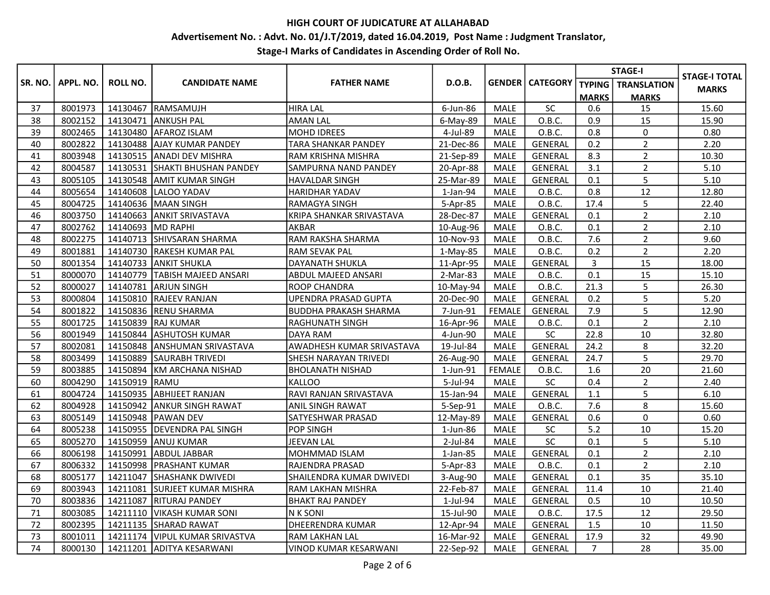# Advertisement No. : Advt. No. 01/J.T/2019, dated 16.04.2019, Post Name : Judgment Translator,

|         |           |                 |                                  |                            |            |               |                        |                | <b>STAGE-I</b>              | <b>STAGE-I TOTAL</b> |
|---------|-----------|-----------------|----------------------------------|----------------------------|------------|---------------|------------------------|----------------|-----------------------------|----------------------|
| SR. NO. | APPL. NO. | <b>ROLL NO.</b> | <b>CANDIDATE NAME</b>            | <b>FATHER NAME</b>         | D.O.B.     |               | <b>GENDER CATEGORY</b> |                | <b>TYPING</b>   TRANSLATION | <b>MARKS</b>         |
|         |           |                 |                                  |                            |            |               |                        | <b>MARKS</b>   | <b>MARKS</b>                |                      |
| 37      | 8001973   | 14130467        | <b>RAMSAMUJH</b>                 | <b>HIRA LAL</b>            | 6-Jun-86   | MALE          | SC                     | 0.6            | 15                          | 15.60                |
| 38      | 8002152   | 14130471        | <b>JANKUSH PAL</b>               | <b>AMAN LAL</b>            | 6-May-89   | <b>MALE</b>   | O.B.C.                 | 0.9            | 15                          | 15.90                |
| 39      | 8002465   |                 | 14130480 AFAROZ ISLAM            | <b>MOHD IDREES</b>         | 4-Jul-89   | MALE          | O.B.C.                 | 0.8            | $\mathbf 0$                 | 0.80                 |
| 40      | 8002822   |                 | 14130488 AJAY KUMAR PANDEY       | <b>TARA SHANKAR PANDEY</b> | 21-Dec-86  | <b>MALE</b>   | <b>GENERAL</b>         | 0.2            | $\overline{2}$              | 2.20                 |
| 41      | 8003948   |                 | 14130515 ANADI DEV MISHRA        | RAM KRISHNA MISHRA         | 21-Sep-89  | <b>MALE</b>   | <b>GENERAL</b>         | 8.3            | $\overline{2}$              | 10.30                |
| 42      | 8004587   |                 | 14130531 SHAKTI BHUSHAN PANDEY   | SAMPURNA NAND PANDEY       | 20-Apr-88  | <b>MALE</b>   | <b>GENERAL</b>         | 3.1            | $\overline{2}$              | 5.10                 |
| 43      | 8005105   |                 | 14130548 AMIT KUMAR SINGH        | HAVALDAR SINGH             | 25-Mar-89  | <b>MALE</b>   | GENERAL                | 0.1            | 5                           | 5.10                 |
| 44      | 8005654   |                 | 14140608  LALOO YADAV            | HARIDHAR YADAV             | 1-Jan-94   | MALE          | O.B.C.                 | 0.8            | 12                          | 12.80                |
| 45      | 8004725   |                 | 14140636 MAAN SINGH              | RAMAGYA SINGH              | 5-Apr-85   | <b>MALE</b>   | O.B.C.                 | 17.4           | 5                           | 22.40                |
| 46      | 8003750   |                 | 14140663 ANKIT SRIVASTAVA        | KRIPA SHANKAR SRIVASTAVA   | 28-Dec-87  | MALE          | <b>GENERAL</b>         | 0.1            | $\overline{2}$              | 2.10                 |
| 47      | 8002762   | 14140693        | MD RAPHI                         | AKBAR                      | 10-Aug-96  | <b>MALE</b>   | O.B.C.                 | 0.1            | $\overline{2}$              | 2.10                 |
| 48      | 8002275   |                 | 14140713 SHIVSARAN SHARMA        | RAM RAKSHA SHARMA          | 10-Nov-93  | MALE          | O.B.C.                 | 7.6            | $\overline{2}$              | 9.60                 |
| 49      | 8001881   |                 | 14140730 RAKESH KUMAR PAL        | RAM SEVAK PAL              | $1-Mav-85$ | MALE          | O.B.C.                 | 0.2            | $\overline{2}$              | 2.20                 |
| 50      | 8001354   |                 | 14140733 ANKIT SHUKLA            | DAYANATH SHUKLA            | 11-Apr-95  | MALE          | <b>GENERAL</b>         | 3              | 15                          | 18.00                |
| 51      | 8000070   |                 | 14140779 TABISH MAJEED ANSARI    | ABDUL MAJEED ANSARI        | 2-Mar-83   | <b>MALE</b>   | O.B.C.                 | 0.1            | 15                          | 15.10                |
| 52      | 8000027   |                 | 14140781 ARJUN SINGH             | ROOP CHANDRA               | 10-May-94  | <b>MALE</b>   | O.B.C.                 | 21.3           | 5                           | 26.30                |
| 53      | 8000804   |                 | 14150810 RAJEEV RANJAN           | UPENDRA PRASAD GUPTA       | 20-Dec-90  | MALE          | <b>GENERAL</b>         | 0.2            | 5                           | 5.20                 |
| 54      | 8001822   |                 | 14150836 RENU SHARMA             | BUDDHA PRAKASH SHARMA      | 7-Jun-91   | <b>FEMALE</b> | GENERAL                | 7.9            | 5                           | 12.90                |
| 55      | 8001725   |                 | 14150839 RAJ KUMAR               | RAGHUNATH SINGH            | 16-Apr-96  | MALE          | O.B.C.                 | 0.1            | $\overline{2}$              | 2.10                 |
| 56      | 8001949   |                 | 14150844 ASHUTOSH KUMAR          | DAYA RAM                   | 4-Jun-90   | <b>MALE</b>   | <b>SC</b>              | 22.8           | 10                          | 32.80                |
| 57      | 8002081   |                 | 14150848 ANSHUMAN SRIVASTAVA     | AWADHESH KUMAR SRIVASTAVA  | 19-Jul-84  | MALE          | <b>GENERAL</b>         | 24.2           | 8                           | 32.20                |
| 58      | 8003499   |                 | 14150889 SAURABH TRIVEDI         | SHESH NARAYAN TRIVEDI      | 26-Aug-90  | <b>MALE</b>   | <b>GENERAL</b>         | 24.7           | 5                           | 29.70                |
| 59      | 8003885   |                 | 14150894 KM ARCHANA NISHAD       | <b>BHOLANATH NISHAD</b>    | 1-Jun-91   | <b>FEMALE</b> | O.B.C.                 | 1.6            | 20                          | 21.60                |
| 60      | 8004290   | 14150919 RAMU   |                                  | <b>KALLOO</b>              | 5-Jul-94   | <b>MALE</b>   | SC                     | 0.4            | $\overline{2}$              | 2.40                 |
| 61      | 8004724   |                 | 14150935 ABHIJEET RANJAN         | RAVI RANJAN SRIVASTAVA     | 15-Jan-94  | MALE          | GENERAL                | 1.1            | 5                           | 6.10                 |
| 62      | 8004928   | 14150942        | <b>ANKUR SINGH RAWAT</b>         | ANIL SINGH RAWAT           | 5-Sep-91   | <b>MALE</b>   | O.B.C.                 | 7.6            | 8                           | 15.60                |
| 63      | 8005149   |                 | 14150948 PAWAN DEV               | SATYESHWAR PRASAD          | 12-May-89  | <b>MALE</b>   | <b>GENERAL</b>         | 0.6            | $\mathsf{O}$                | 0.60                 |
| 64      | 8005238   |                 | 14150955  DEVENDRA PAL SINGH     | <b>POP SINGH</b>           | 1-Jun-86   | MALE          | <b>SC</b>              | 5.2            | 10                          | 15.20                |
| 65      | 8005270   |                 | 14150959 ANUJ KUMAR              | <b>JEEVAN LAL</b>          | 2-Jul-84   | MALE          | $\sf SC$               | 0.1            | 5                           | 5.10                 |
| 66      | 8006198   |                 | 14150991 ABDUL JABBAR            | MOHMMAD ISLAM              | $1-Jan-85$ | <b>MALE</b>   | <b>GENERAL</b>         | 0.1            | $\overline{2}$              | 2.10                 |
| 67      | 8006332   | 14150998        | <b>PRASHANT KUMAR</b>            | RAJENDRA PRASAD            | 5-Apr-83   | <b>MALE</b>   | O.B.C.                 | 0.1            | $\overline{2}$              | 2.10                 |
| 68      | 8005177   | 14211047        | <b>SHASHANK DWIVEDI</b>          | SHAILENDRA KUMAR DWIVEDI   | 3-Aug-90   | <b>MALE</b>   | <b>GENERAL</b>         | 0.1            | 35                          | 35.10                |
| 69      | 8003943   | 14211081        | <b>ISURJEET KUMAR MISHRA</b>     | RAM LAKHAN MISHRA          | 22-Feb-87  | <b>MALE</b>   | <b>GENERAL</b>         | 11.4           | 10                          | 21.40                |
| 70      | 8003836   | 14211087        | <b>RITURAJ PANDEY</b>            | <b>BHAKT RAJ PANDEY</b>    | 1-Jul-94   | <b>MALE</b>   | GENERAL                | 0.5            | 10                          | 10.50                |
| 71      | 8003085   |                 | 14211110 VIKASH KUMAR SONI       | <b>NK SONI</b>             | 15-Jul-90  | <b>MALE</b>   | O.B.C.                 | 17.5           | 12                          | 29.50                |
| 72      | 8002395   |                 | 14211135 SHARAD RAWAT            | DHEERENDRA KUMAR           | 12-Apr-94  | MALE          | GENERAL                | 1.5            | 10                          | 11.50                |
| 73      | 8001011   |                 | 14211174   VIPUL KUMAR SRIVASTVA | RAM LAKHAN LAL             | 16-Mar-92  | <b>MALE</b>   | GENERAL                | 17.9           | 32                          | 49.90                |
| 74      | 8000130   |                 | 14211201  ADITYA KESARWANI       | VINOD KUMAR KESARWANI      | 22-Sep-92  | MALE          | <b>GENERAL</b>         | $\overline{7}$ | 28                          | 35.00                |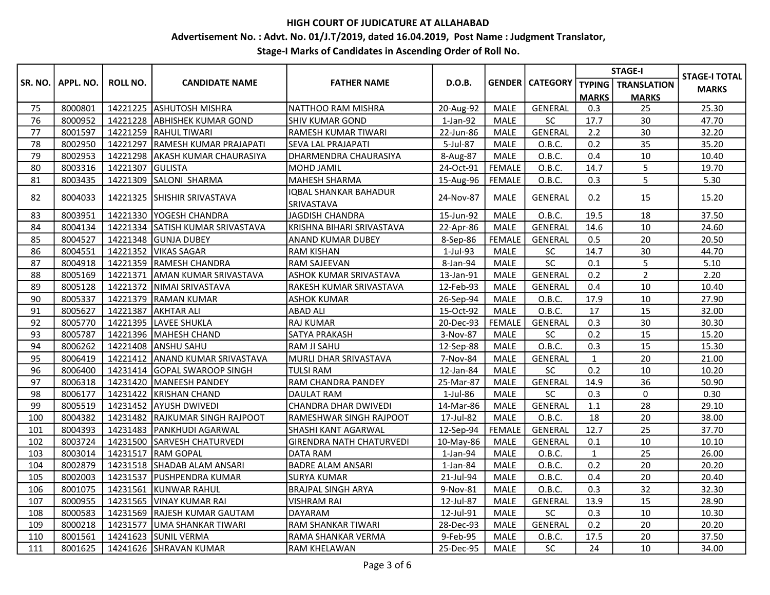# Advertisement No. : Advt. No. 01/J.T/2019, dated 16.04.2019, Post Name : Judgment Translator,

|                |           |                 |                                  |                                     |                |               |                        | <b>STAGE-I</b> |                    | <b>STAGE-I TOTAL</b> |
|----------------|-----------|-----------------|----------------------------------|-------------------------------------|----------------|---------------|------------------------|----------------|--------------------|----------------------|
| <b>SR. NO.</b> | APPL. NO. | <b>ROLL NO.</b> | <b>CANDIDATE NAME</b>            | <b>FATHER NAME</b>                  | D.O.B.         |               | <b>GENDER CATEGORY</b> | <b>TYPING</b>  | <b>TRANSLATION</b> | <b>MARKS</b>         |
|                |           |                 |                                  |                                     |                |               |                        | <b>MARKS</b>   | <b>MARKS</b>       |                      |
| 75             | 8000801   |                 | 14221225 ASHUTOSH MISHRA         | NATTHOO RAM MISHRA                  | 20-Aug-92      | <b>MALE</b>   | <b>GENERAL</b>         | 0.3            | 25                 | 25.30                |
| 76             | 8000952   |                 | 14221228 ABHISHEK KUMAR GOND     | SHIV KUMAR GOND                     | $1$ -Jan- $92$ | <b>MALE</b>   | <b>SC</b>              | 17.7           | 30                 | 47.70                |
| 77             | 8001597   |                 | 14221259 RAHUL TIWARI            | RAMESH KUMAR TIWARI                 | 22-Jun-86      | <b>MALE</b>   | <b>GENERAL</b>         | 2.2            | 30                 | 32.20                |
| 78             | 8002950   | 14221297        | RAMESH KUMAR PRAJAPATI           | SEVA LAL PRAJAPATI                  | 5-Jul-87       | <b>MALE</b>   | O.B.C.                 | 0.2            | 35                 | 35.20                |
| 79             | 8002953   | 14221298        | <b>AKASH KUMAR CHAURASIYA</b>    | DHARMENDRA CHAURASIYA               | 8-Aug-87       | MALE          | O.B.C.                 | 0.4            | 10                 | 10.40                |
| 80             | 8003316   | 14221307        | GULISTA                          | MOHD JAMIL                          | 24-Oct-91      | <b>FEMALE</b> | O.B.C.                 | 14.7           | 5                  | 19.70                |
| 81             | 8003435   |                 | 14221309 SALONI SHARMA           | MAHESH SHARMA                       | 15-Aug-96      | FEMALE        | O.B.C.                 | 0.3            | 5                  | 5.30                 |
| 82             | 8004033   | 14221325        | <b>SHISHIR SRIVASTAVA</b>        | IOBAL SHANKAR BAHADUR<br>SRIVASTAVA | 24-Nov-87      | <b>MALE</b>   | <b>GENERAL</b>         | 0.2            | 15                 | 15.20                |
| 83             | 8003951   |                 | 14221330 YOGESH CHANDRA          | JAGDISH CHANDRA                     | 15-Jun-92      | <b>MALE</b>   | O.B.C.                 | 19.5           | 18                 | 37.50                |
| 84             | 8004134   |                 | 14221334 SATISH KUMAR SRIVASTAVA | KRISHNA BIHARI SRIVASTAVA           | 22-Apr-86      | <b>MALE</b>   | <b>GENERAL</b>         | 14.6           | 10                 | 24.60                |
| 85             | 8004527   |                 | 14221348 GUNJA DUBEY             | ANAND KUMAR DUBEY                   | 8-Sep-86       | FEMALE        | GENERAL                | 0.5            | 20                 | 20.50                |
| 86             | 8004551   |                 | 14221352 VIKAS SAGAR             | <b>RAM KISHAN</b>                   | 1-Jul-93       | <b>MALE</b>   | <b>SC</b>              | 14.7           | 30                 | 44.70                |
| 87             | 8004918   |                 | 14221359 RAMESH CHANDRA          | RAM SAJEEVAN                        | 8-Jan-94       | <b>MALE</b>   | SC                     | 0.1            | 5                  | 5.10                 |
| 88             | 8005169   |                 | 14221371 JAMAN KUMAR SRIVASTAVA  | ASHOK KUMAR SRIVASTAVA              | 13-Jan-91      | <b>MALE</b>   | <b>GENERAL</b>         | 0.2            | $\overline{2}$     | 2.20                 |
| 89             | 8005128   |                 | 14221372   NIMAI SRIVASTAVA      | RAKESH KUMAR SRIVASTAVA             | 12-Feb-93      | <b>MALE</b>   | <b>GENERAL</b>         | 0.4            | 10                 | 10.40                |
| 90             | 8005337   |                 | 14221379 RAMAN KUMAR             | <b>ASHOK KUMAR</b>                  | 26-Sep-94      | <b>MALE</b>   | O.B.C.                 | 17.9           | 10                 | 27.90                |
| 91             | 8005627   | 14221387        | <b>AKHTAR ALI</b>                | <b>ABAD ALI</b>                     | 15-Oct-92      | <b>MALE</b>   | O.B.C.                 | 17             | 15                 | 32.00                |
| 92             | 8005770   | 14221395        | LAVEE SHUKLA                     | <b>RAJ KUMAR</b>                    | 20-Dec-93      | <b>FEMALE</b> | GENERAL                | 0.3            | 30                 | 30.30                |
| 93             | 8005787   |                 | 14221396   MAHESH CHAND          | SATYA PRAKASH                       | 3-Nov-87       | MALE          | SC                     | 0.2            | 15                 | 15.20                |
| 94             | 8006262   |                 | 14221408 ANSHU SAHU              | <b>RAM JI SAHU</b>                  | 12-Sep-88      | MALE          | O.B.C.                 | 0.3            | 15                 | 15.30                |
| 95             | 8006419   | 14221412        | <b>ANAND KUMAR SRIVASTAVA</b>    | MURLI DHAR SRIVASTAVA               | 7-Nov-84       | <b>MALE</b>   | <b>GENERAL</b>         | $\mathbf{1}$   | 20                 | 21.00                |
| 96             | 8006400   | 14231414        | GOPAL SWAROOP SINGH              | <b>TULSI RAM</b>                    | 12-Jan-84      | <b>MALE</b>   | SC                     | 0.2            | 10                 | 10.20                |
| 97             | 8006318   |                 | 14231420 MANEESH PANDEY          | RAM CHANDRA PANDEY                  | 25-Mar-87      | <b>MALE</b>   | <b>GENERAL</b>         | 14.9           | 36                 | 50.90                |
| 98             | 8006177   | 14231422        | <b>KRISHAN CHAND</b>             | DAULAT RAM                          | 1-Jul-86       | <b>MALE</b>   | SC                     | 0.3            | $\mathbf 0$        | 0.30                 |
| 99             | 8005519   |                 | 14231452 AYUSH DWIVEDI           | CHANDRA DHAR DWIVEDI                | 14-Mar-86      | <b>MALE</b>   | <b>GENERAL</b>         | 1.1            | 28                 | 29.10                |
| 100            | 8004382   |                 | 14231482 RAJKUMAR SINGH RAJPOOT  | RAMESHWAR SINGH RAJPOOT             | 17-Jul-82      | <b>MALE</b>   | O.B.C.                 | 18             | 20                 | 38.00                |
| 101            | 8004393   |                 | 14231483 PANKHUDI AGARWAL        | SHASHI KANT AGARWAL                 | 12-Sep-94      | <b>FEMALE</b> | <b>GENERAL</b>         | 12.7           | 25                 | 37.70                |
| 102            | 8003724   |                 | 14231500 SARVESH CHATURVEDI      | <b>GIRENDRA NATH CHATURVEDI</b>     | 10-May-86      | MALE          | GENERAL                | 0.1            | 10                 | 10.10                |
| 103            | 8003014   | 14231517        | <b>IRAM GOPAL</b>                | <b>DATA RAM</b>                     | $1$ -Jan- $94$ | <b>MALE</b>   | O.B.C.                 | $\mathbf{1}$   | 25                 | 26.00                |
| 104            | 8002879   |                 | 14231518 SHADAB ALAM ANSARI      | <b>BADRE ALAM ANSARI</b>            | $1$ -Jan-84    | MALE          | O.B.C.                 | 0.2            | 20                 | 20.20                |
| 105            | 8002003   | 14231537        | <b>IPUSHPENDRA KUMAR</b>         | <b>SURYA KUMAR</b>                  | 21-Jul-94      | MALE          | O.B.C.                 | 0.4            | 20                 | 20.40                |
| 106            | 8001075   |                 | 14231561 KUNWAR RAHUL            | <b>BRAJPAL SINGH ARYA</b>           | 9-Nov-81       | <b>MALE</b>   | O.B.C.                 | 0.3            | 32                 | 32.30                |
| 107            | 8000955   | 14231565        | <b>VINAY KUMAR RAI</b>           | <b>VISHRAM RAI</b>                  | 12-Jul-87      | <b>MALE</b>   | GENERAL                | 13.9           | 15                 | 28.90                |
| 108            | 8000583   |                 | 14231569 RAJESH KUMAR GAUTAM     | DAYARAM                             | 12-Jul-91      | MALE          | SC                     | 0.3            | 10                 | 10.30                |
| 109            | 8000218   | 14231577        | <b>JUMA SHANKAR TIWARI</b>       | RAM SHANKAR TIWARI                  | 28-Dec-93      | <b>MALE</b>   | <b>GENERAL</b>         | 0.2            | 20                 | 20.20                |
| 110            | 8001561   | 14241623        | <b>SUNIL VERMA</b>               | RAMA SHANKAR VERMA                  | 9-Feb-95       | <b>MALE</b>   | O.B.C.                 | 17.5           | 20                 | 37.50                |
| 111            | 8001625   |                 | 14241626 SHRAVAN KUMAR           | <b>RAM KHELAWAN</b>                 | 25-Dec-95      | <b>MALE</b>   | SC                     | 24             | 10                 | 34.00                |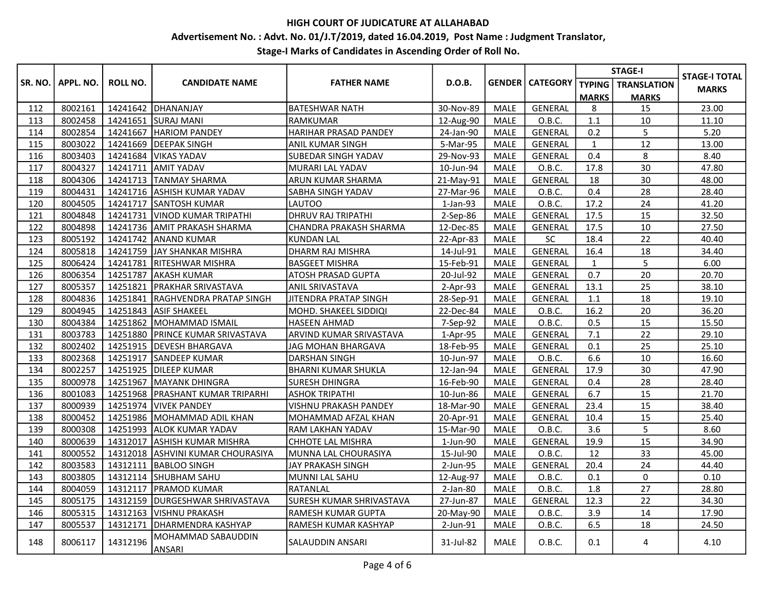# Advertisement No. : Advt. No. 01/J.T/2019, dated 16.04.2019, Post Name : Judgment Translator,

|         |           |                 |                                    |                            |                |             |                          | <b>STAGE-I</b> |                             | <b>STAGE-I TOTAL</b> |
|---------|-----------|-----------------|------------------------------------|----------------------------|----------------|-------------|--------------------------|----------------|-----------------------------|----------------------|
| SR. NO. | APPL. NO. | <b>ROLL NO.</b> | <b>CANDIDATE NAME</b>              | <b>FATHER NAME</b>         | D.O.B.         |             | <b>GENDER   CATEGORY</b> |                | <b>TYPING</b>   TRANSLATION | <b>MARKS</b>         |
|         |           |                 |                                    |                            |                |             |                          | <b>MARKS</b>   | <b>MARKS</b>                |                      |
| 112     | 8002161   | 14241642        | DHANANJAY                          | <b>BATESHWAR NATH</b>      | 30-Nov-89      | <b>MALE</b> | <b>GENERAL</b>           | 8              | 15                          | 23.00                |
| 113     | 8002458   |                 | 14241651 SURAJ MANI                | RAMKUMAR                   | 12-Aug-90      | MALE        | O.B.C.                   | 1.1            | 10                          | 11.10                |
| 114     | 8002854   | 14241667        | <b>HARIOM PANDEY</b>               | HARIHAR PRASAD PANDEY      | 24-Jan-90      | <b>MALE</b> | GENERAL                  | 0.2            | 5                           | 5.20                 |
| 115     | 8003022   | 14241669        | <b>DEEPAK SINGH</b>                | <b>ANIL KUMAR SINGH</b>    | 5-Mar-95       | <b>MALE</b> | GENERAL                  | $\mathbf{1}$   | 12                          | 13.00                |
| 116     | 8003403   | 14241684        | <b>VIKAS YADAV</b>                 | <b>SUBEDAR SINGH YADAV</b> | 29-Nov-93      | <b>MALE</b> | GENERAL                  | 0.4            | 8                           | 8.40                 |
| 117     | 8004327   | 14241711        | <b>AMIT YADAV</b>                  | MURARI LAL YADAV           | 10-Jun-94      | <b>MALE</b> | O.B.C.                   | 17.8           | 30                          | 47.80                |
| 118     | 8004306   | 14241713        | <b>TANMAY SHARMA</b>               | <b>ARUN KUMAR SHARMA</b>   | 21-May-91      | <b>MALE</b> | <b>GENERAL</b>           | 18             | 30                          | 48.00                |
| 119     | 8004431   |                 | 14241716 ASHISH KUMAR YADAV        | <b>SABHA SINGH YADAV</b>   | 27-Mar-96      | <b>MALE</b> | O.B.C.                   | 0.4            | 28                          | 28.40                |
| 120     | 8004505   | 14241717        | <b>SANTOSH KUMAR</b>               | LAUTOO                     | $1$ -Jan- $93$ | MALE        | O.B.C.                   | 17.2           | 24                          | 41.20                |
| 121     | 8004848   | 14241731        | VINOD KUMAR TRIPATHI               | <b>DHRUV RAJ TRIPATHI</b>  | 2-Sep-86       | MALE        | GENERAL                  | 17.5           | 15                          | 32.50                |
| 122     | 8004898   |                 | 14241736 AMIT PRAKASH SHARMA       | CHANDRA PRAKASH SHARMA     | 12-Dec-85      | <b>MALE</b> | <b>GENERAL</b>           | 17.5           | 10                          | 27.50                |
| 123     | 8005192   | 14241742        | <b>ANAND KUMAR</b>                 | KUNDAN LAL                 | 22-Apr-83      | MALE        | SC                       | 18.4           | 22                          | 40.40                |
| 124     | 8005818   | 14241759        | JAY SHANKAR MISHRA                 | <b>DHARM RAJ MISHRA</b>    | 14-Jul-91      | <b>MALE</b> | <b>GENERAL</b>           | 16.4           | 18                          | 34.40                |
| 125     | 8006424   | 14241781        | <b>IRITESHWAR MISHRA</b>           | <b>BASGEET MISHRA</b>      | 15-Feb-91      | <b>MALE</b> | <b>GENERAL</b>           | $\mathbf{1}$   | 5                           | 6.00                 |
| 126     | 8006354   | 14251787        | <b>AKASH KUMAR</b>                 | <b>ATOSH PRASAD GUPTA</b>  | 20-Jul-92      | <b>MALE</b> | GENERAL                  | 0.7            | 20                          | 20.70                |
| 127     | 8005357   |                 | 14251821 PRAKHAR SRIVASTAVA        | <b>ANIL SRIVASTAVA</b>     | $2-Apr-93$     | MALE        | GENERAL                  | 13.1           | 25                          | 38.10                |
| 128     | 8004836   | 14251841        | <b>IRAGHVENDRA PRATAP SINGH</b>    | JITENDRA PRATAP SINGH      | 28-Sep-91      | <b>MALE</b> | GENERAL                  | 1.1            | 18                          | 19.10                |
| 129     | 8004945   | 14251843        | <b>ASIF SHAKEEL</b>                | MOHD. SHAKEEL SIDDIQI      | 22-Dec-84      | <b>MALE</b> | O.B.C.                   | 16.2           | 20                          | 36.20                |
| 130     | 8004384   | 14251862        | <b>MOHAMMAD ISMAIL</b>             | HASEEN AHMAD               | 7-Sep-92       | MALE        | O.B.C.                   | 0.5            | 15                          | 15.50                |
| 131     | 8003783   |                 | 14251880 PRINCE KUMAR SRIVASTAVA   | ARVIND KUMAR SRIVASTAVA    | 1-Apr-95       | <b>MALE</b> | GENERAL                  | 7.1            | 22                          | 29.10                |
| 132     | 8002402   |                 | 14251915   DEVESH BHARGAVA         | JAG MOHAN BHARGAVA         | 18-Feb-95      | <b>MALE</b> | GENERAL                  | 0.1            | 25                          | 25.10                |
| 133     | 8002368   |                 | 14251917 SANDEEP KUMAR             | <b>DARSHAN SINGH</b>       | 10-Jun-97      | <b>MALE</b> | O.B.C.                   | 6.6            | 10                          | 16.60                |
| 134     | 8002257   | 14251925        | <b>DILEEP KUMAR</b>                | <b>BHARNI KUMAR SHUKLA</b> | 12-Jan-94      | MALE        | GENERAL                  | 17.9           | 30                          | 47.90                |
| 135     | 8000978   | 14251967        | <b>IMAYANK DHINGRA</b>             | <b>SURESH DHINGRA</b>      | 16-Feb-90      | <b>MALE</b> | <b>GENERAL</b>           | 0.4            | 28                          | 28.40                |
| 136     | 8001083   |                 | 14251968   PRASHANT KUMAR TRIPARHI | ASHOK TRIPATHI             | 10-Jun-86      | <b>MALE</b> | <b>GENERAL</b>           | 6.7            | 15                          | 21.70                |
| 137     | 8000939   | 14251974        | <b>VIVEK PANDEY</b>                | VISHNU PRAKASH PANDEY      | 18-Mar-90      | <b>MALE</b> | GENERAL                  | 23.4           | 15                          | 38.40                |
| 138     | 8000452   |                 | 14251986 MOHAMMAD ADIL KHAN        | MOHAMMAD AFZAL KHAN        | 20-Apr-91      | <b>MALE</b> | <b>GENERAL</b>           | 10.4           | 15                          | 25.40                |
| 139     | 8000308   | 14251993        | <b>ALOK KUMAR YADAV</b>            | RAM LAKHAN YADAV           | 15-Mar-90      | <b>MALE</b> | O.B.C.                   | 3.6            | 5                           | 8.60                 |
| 140     | 8000639   | 14312017        | <b>ASHISH KUMAR MISHRA</b>         | CHHOTE LAL MISHRA          | 1-Jun-90       | <b>MALE</b> | GENERAL                  | 19.9           | 15                          | 34.90                |
| 141     | 8000552   |                 | 14312018 ASHVINI KUMAR CHOURASIYA  | MUNNA LAL CHOURASIYA       | 15-Jul-90      | <b>MALE</b> | O.B.C.                   | 12             | 33                          | 45.00                |
| 142     | 8003583   | 14312111        | <b>BABLOO SINGH</b>                | <b>JAY PRAKASH SINGH</b>   | 2-Jun-95       | <b>MALE</b> | <b>GENERAL</b>           | 20.4           | 24                          | 44.40                |
| 143     | 8003805   | 14312114        | SHUBHAM SAHU                       | MUNNI LAL SAHU             | 12-Aug-97      | <b>MALE</b> | O.B.C.                   | 0.1            | $\mathbf 0$                 | 0.10                 |
| 144     | 8004059   |                 | 14312117   PRAMOD KUMAR            | <b>RATANLAL</b>            | 2-Jan-80       | <b>MALE</b> | O.B.C.                   | 1.8            | 27                          | 28.80                |
| 145     | 8005175   |                 | 14312159   DURGESHWAR SHRIVASTAVA  | SURESH KUMAR SHRIVASTAVA   | 27-Jun-87      | <b>MALE</b> | <b>GENERAL</b>           | 12.3           | 22                          | 34.30                |
| 146     | 8005315   | 14312163        | VISHNU PRAKASH                     | <b>RAMESH KUMAR GUPTA</b>  | 20-May-90      | <b>MALE</b> | O.B.C.                   | 3.9            | 14                          | 17.90                |
| 147     | 8005537   | 14312171        | <b>JDHARMENDRA KASHYAP</b>         | RAMESH KUMAR KASHYAP       | 2-Jun-91       | <b>MALE</b> | O.B.C.                   | 6.5            | 18                          | 24.50                |
| 148     | 8006117   | 14312196        | MOHAMMAD SABAUDDIN<br>ANSARI       | SALAUDDIN ANSARI           | 31-Jul-82      | <b>MALE</b> | O.B.C.                   | 0.1            | 4                           | 4.10                 |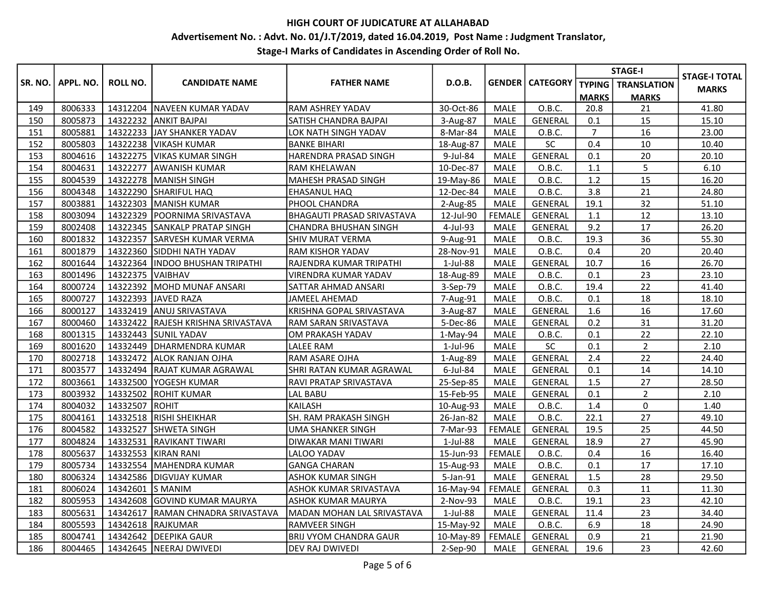# Advertisement No. : Advt. No. 01/J.T/2019, dated 16.04.2019, Post Name : Judgment Translator,

|         |           |                 |                                    |                                   |              |               |                          | <b>STAGE-I</b> |                             | <b>STAGE-I TOTAL</b> |
|---------|-----------|-----------------|------------------------------------|-----------------------------------|--------------|---------------|--------------------------|----------------|-----------------------------|----------------------|
| SR. NO. | APPL. NO. | <b>ROLL NO.</b> | <b>CANDIDATE NAME</b>              | <b>FATHER NAME</b>                | D.O.B.       |               | <b>GENDER   CATEGORY</b> |                | <b>TYPING</b>   TRANSLATION | <b>MARKS</b>         |
|         |           |                 |                                    |                                   |              |               |                          | <b>MARKS</b>   | <b>MARKS</b>                |                      |
| 149     | 8006333   |                 | 14312204   NAVEEN KUMAR YADAV      | <b>RAM ASHREY YADAV</b>           | 30-Oct-86    | MALE          | O.B.C.                   | 20.8           | 21                          | 41.80                |
| 150     | 8005873   | 14322232        | <b>ANKIT BAJPAI</b>                | SATISH CHANDRA BAJPAI             | 3-Aug-87     | <b>MALE</b>   | <b>GENERAL</b>           | 0.1            | 15                          | 15.10                |
| 151     | 8005881   |                 | 14322233 JJAY SHANKER YADAV        | LOK NATH SINGH YADAV              | 8-Mar-84     | <b>MALE</b>   | O.B.C.                   | $\overline{7}$ | 16                          | 23.00                |
| 152     | 8005803   |                 | 14322238   VIKASH KUMAR            | <b>BANKE BIHARI</b>               | 18-Aug-87    | <b>MALE</b>   | SC                       | 0.4            | 10                          | 10.40                |
| 153     | 8004616   |                 | 14322275   VIKAS KUMAR SINGH       | HARENDRA PRASAD SINGH             | 9-Jul-84     | <b>MALE</b>   | <b>GENERAL</b>           | 0.1            | 20                          | 20.10                |
| 154     | 8004631   | 14322277        | <b>JAWANISH KUMAR</b>              | <b>RAM KHELAWAN</b>               | 10-Dec-87    | <b>MALE</b>   | O.B.C.                   | 1.1            | 5                           | 6.10                 |
| 155     | 8004539   |                 | 14322278 MANISH SINGH              | MAHESH PRASAD SINGH               | 19-May-86    | <b>MALE</b>   | O.B.C.                   | 1.2            | 15                          | 16.20                |
| 156     | 8004348   |                 | 14322290 SHARIFUL HAQ              | EHASANUL HAQ                      | 12-Dec-84    | <b>MALE</b>   | O.B.C.                   | 3.8            | 21                          | 24.80                |
| 157     | 8003881   |                 | 14322303 MANISH KUMAR              | PHOOL CHANDRA                     | 2-Aug-85     | MALE          | GENERAL                  | 19.1           | 32                          | 51.10                |
| 158     | 8003094   |                 | 14322329 POORNIMA SRIVASTAVA       | <b>BHAGAUTI PRASAD SRIVASTAVA</b> | 12-Jul-90    | FEMALE        | GENERAL                  | 1.1            | 12                          | 13.10                |
| 159     | 8002408   |                 | 14322345 SANKALP PRATAP SINGH      | CHANDRA BHUSHAN SINGH             | 4-Jul-93     | <b>MALE</b>   | GENERAL                  | 9.2            | 17                          | 26.20                |
| 160     | 8001832   | 14322357        | SARVESH KUMAR VERMA                | SHIV MURAT VERMA                  | 9-Aug-91     | <b>MALE</b>   | O.B.C.                   | 19.3           | 36                          | 55.30                |
| 161     | 8001879   |                 | 14322360 SIDDHI NATH YADAV         | <b>RAM KISHOR YADAV</b>           | 28-Nov-91    | <b>MALE</b>   | O.B.C.                   | 0.4            | 20                          | 20.40                |
| 162     | 8001644   |                 | 14322364   INDOO BHUSHAN TRIPATHI  | RAJENDRA KUMAR TRIPATHI           | 1-Jul-88     | <b>MALE</b>   | GENERAL                  | 10.7           | 16                          | 26.70                |
| 163     | 8001496   | 14322375        | <b>VAIBHAV</b>                     | VIRENDRA KUMAR YADAV              | 18-Aug-89    | <b>MALE</b>   | O.B.C.                   | 0.1            | 23                          | 23.10                |
| 164     | 8000724   |                 | 14322392 MOHD MUNAF ANSARI         | SATTAR AHMAD ANSARI               | 3-Sep-79     | <b>MALE</b>   | O.B.C.                   | 19.4           | 22                          | 41.40                |
| 165     | 8000727   | 14322393        | JAVED RAZA                         | <b>JAMEEL AHEMAD</b>              | 7-Aug-91     | <b>MALE</b>   | O.B.C.                   | 0.1            | 18                          | 18.10                |
| 166     | 8000127   |                 | 14332419 ANUJ SRIVASTAVA           | KRISHNA GOPAL SRIVASTAVA          | 3-Aug-87     | MALE          | GENERAL                  | 1.6            | 16                          | 17.60                |
| 167     | 8000460   |                 | 14332422 RAJESH KRISHNA SRIVASTAVA | <b>RAM SARAN SRIVASTAVA</b>       | 5-Dec-86     | <b>MALE</b>   | <b>GENERAL</b>           | 0.2            | 31                          | 31.20                |
| 168     | 8001315   | 14332443        | <b>SUNIL YADAV</b>                 | OM PRAKASH YADAV                  | 1-May-94     | MALE          | O.B.C.                   | 0.1            | 22                          | 22.10                |
| 169     | 8001620   |                 | 14332449   DHARMENDRA KUMAR        | <b>LALEE RAM</b>                  | 1-Jul-96     | MALE          | <b>SC</b>                | 0.1            | $\overline{2}$              | 2.10                 |
| 170     | 8002718   | 14332472        | <b>JALOK RANJAN OJHA</b>           | <b>RAM ASARE OJHA</b>             | 1-Aug-89     | <b>MALE</b>   | <b>GENERAL</b>           | 2.4            | 22                          | 24.40                |
| 171     | 8003577   | 14332494        | RAJAT KUMAR AGRAWAL                | SHRI RATAN KUMAR AGRAWAL          | 6-Jul-84     | <b>MALE</b>   | GENERAL                  | 0.1            | 14                          | 14.10                |
| 172     | 8003661   |                 | 14332500 YOGESH KUMAR              | <b>RAVI PRATAP SRIVASTAVA</b>     | 25-Sep-85    | <b>MALE</b>   | <b>GENERAL</b>           | 1.5            | 27                          | 28.50                |
| 173     | 8003932   | 14332502        | <b>ROHIT KUMAR</b>                 | LAL BABU                          | 15-Feb-95    | <b>MALE</b>   | GENERAL                  | 0.1            | $\overline{2}$              | 2.10                 |
| 174     | 8004032   | 14332507 ROHIT  |                                    | <b>KAILASH</b>                    | 10-Aug-93    | <b>MALE</b>   | O.B.C.                   | 1.4            | $\mathbf 0$                 | 1.40                 |
| 175     | 8004161   |                 | 14332518 RISHI SHEIKHAR            | SH. RAM PRAKASH SINGH             | 26-Jan-82    | <b>MALE</b>   | O.B.C.                   | 22.1           | 27                          | 49.10                |
| 176     | 8004582   | 14332527        | <b>SHWETA SINGH</b>                | UMA SHANKER SINGH                 | 7-Mar-93     | <b>FEMALE</b> | GENERAL                  | 19.5           | 25                          | 44.50                |
| 177     | 8004824   | 14332531        | RAVIKANT TIWARI                    | DIWAKAR MANI TIWARI               | 1-Jul-88     | <b>MALE</b>   | <b>GENERAL</b>           | 18.9           | 27                          | 45.90                |
| 178     | 8005637   | 14332553        | KIRAN RANI                         | LALOO YADAV                       | 15-Jun-93    | <b>FEMALE</b> | O.B.C.                   | 0.4            | 16                          | 16.40                |
| 179     | 8005734   | 14332554        | <b>IMAHENDRA KUMAR</b>             | <b>GANGA CHARAN</b>               | 15-Aug-93    | MALE          | O.B.C.                   | 0.1            | 17                          | 17.10                |
| 180     | 8006324   |                 | 14342586 DIGVIJAY KUMAR            | ASHOK KUMAR SINGH                 | 5-Jan-91     | MALE          | <b>GENERAL</b>           | 1.5            | 28                          | 29.50                |
| 181     | 8006024   | 14342601        | <b>S MANIM</b>                     | ASHOK KUMAR SRIVASTAVA            | $16$ -May-94 | FEMALE        | <b>GENERAL</b>           | 0.3            | 11                          | 11.30                |
| 182     | 8005953   | 14342608        | <b>GOVIND KUMAR MAURYA</b>         | <b>ASHOK KUMAR MAURYA</b>         | 2-Nov-93     | <b>MALE</b>   | O.B.C.                   | 19.1           | 23                          | 42.10                |
| 183     | 8005631   | 14342617        | <b>IRAMAN CHNADRA SRIVASTAVA</b>   | MADAN MOHAN LAL SRIVASTAVA        | 1-Jul-88     | <b>MALE</b>   | <b>GENERAL</b>           | 11.4           | 23                          | 34.40                |
| 184     | 8005593   |                 | 14342618 RAJKUMAR                  | RAMVEER SINGH                     | 15-May-92    | <b>MALE</b>   | O.B.C.                   | 6.9            | 18                          | 24.90                |
| 185     | 8004741   |                 | 14342642 DEEPIKA GAUR              | BRIJ VYOM CHANDRA GAUR            | 10-May-89    | <b>FEMALE</b> | GENERAL                  | 0.9            | 21                          | 21.90                |
| 186     | 8004465   |                 | 14342645 NEERAJ DWIVEDI            | DEV RAJ DWIVEDI                   | 2-Sep-90     | <b>MALE</b>   | GENERAL                  | 19.6           | 23                          | 42.60                |